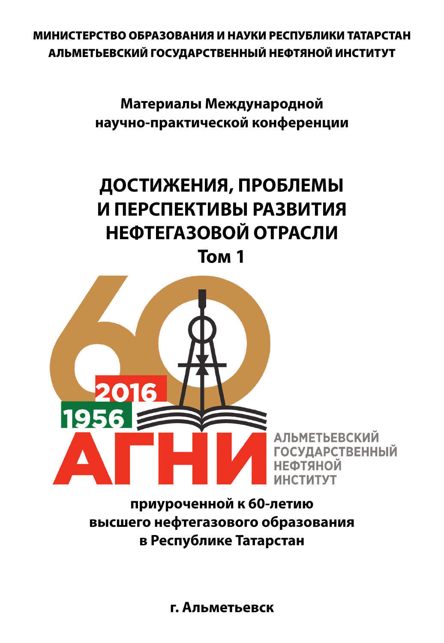МИНИСТЕРСТВО ОБРАЗОВАНИЯ И НАУКИ РЕСПУБЛИКИ ТАТАРСТАН АЛЬМЕТЬЕВСКИЙ ГОСУДАРСТВЕННЫЙ НЕФТЯНОЙ ИНСТИТУТ

> **Материалы Международной научно-практической конференции**

## **ДОСТИЖЕНИЯ, ПРОБЛЕМЫ И ПЕРСПЕКТИВЫ РАЗВИТИЯ НЕФТЕГАЗОВОЙ ОТРАСЛИ**

**Том 1**



**приуроченной к 60-летию высшего нефтегазового образования в Республике Татарстан**

**г. Альметьевск**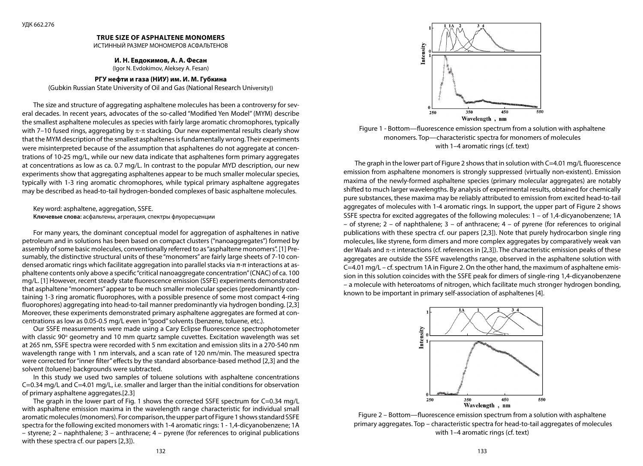#### **TRUE SIZE OF ASPHALTENE MONOMERS**

ИСТИННЫЙ РАЗМЕР МОНОМЕРОВ АСФАЛЬТЕНОВ

#### **И. Н. Евдокимов, А. А. Фесан**

(Igor N. Evdokimov, Aleksey A. Fesan)

#### **РГУ нефти и газа (НИУ) им. И. М. Губкина**

(Gubkin Russian State University of Oil and Gas (National Research University))

The size and structure of aggregating asphaltene molecules has been a controversy for several decades. In recent years, advocates of the so-called "Modified Yen Model" (MYM) describe the smallest asphaltene molecules as species with fairly large aromatic chromophores, typically with 7–10 fused rings, aggregating by  $\pi$ - $\pi$  stacking. Our new experimental results clearly show that the MYM description of the smallest asphaltenes is fundamentally wrong. Their experiments were misinterpreted because of the assumption that asphaltenes do not aggregate at concentrations of 10-25 mg/L, while our new data indicate that asphaltenes form primary aggregates at concentrations as low as ca. 0.7 mg/L. In contrast to the popular MYD description, our new experiments show that aggregating asphaltenes appear to be much smaller molecular species, typically with 1-3 ring aromatic chromophores, while typical primary asphaltene aggregates may be described as head-to-tail hydrogen-bonded complexes of basic asphaltene molecules*.*

Key word: asphaltene, aggregation, SSFE. **Ключевые слова:** асфальтены, агрегация, спектры флуоресценции

For many years, the dominant conceptual model for aggregation of asphaltenes in native petroleum and in solutions has been based on compact clusters ("nanoaggregates") formed by assembly of some basic molecules, conventionally referred to as "asphaltene monomers". [1] Presumably, the distinctive structural units of these "monomers" are fairly large sheets of 7-10 condensed aromatic rings which facilitate aggregation into parallel stacks via π-π interactions at asphaltene contents only above a specific "critical nanoaggregate concentration" (CNAC) of ca. 100 mg/L. [1] However, recent steady state fluorescence emission (SSFE) experiments demonstrated that asphaltene "monomers" appear to be much smaller molecular species (predominantly containing 1-3 ring aromatic fluorophores, with a possible presence of some most compact 4-ring fluorophores) aggregating into head-to-tail manner predominantly via hydrogen bonding. [2,3] Moreover, these experiments demonstrated primary asphaltene aggregates are formed at concentrations as low as 0.05-0.5 mg/L even in "good" solvents (benzene, toluene, etc.).

Our SSFE measurements were made using a Cary Eclipse fluorescence spectrophotometer with classic 90° geometry and 10 mm quartz sample cuvettes. Excitation wavelength was set at 265 nm, SSFE spectra were recorded with 5 nm excitation and emission slits in a 270-540 nm wavelength range with 1 nm intervals, and a scan rate of 120 nm/min. The measured spectra were corrected for "inner filter" effects by the standard absorbance-based method [2,3] and the solvent (toluene) backgrounds were subtracted.

In this study we used two samples of toluene solutions with asphaltene concentrations C=0.34 mg/L and C=4.01 mg/L, i.e. smaller and larger than the initial conditions for observation of primary asphaltene aggregates.[2.3]

The graph in the lower part of Fig. 1 shows the corrected SSFE spectrum for C=0.34 mg/L with asphaltene emission maxima in the wavelength range characteristic for individual small aromatic molecules (monomers). For comparison, the upper part of Figure 1 shows standard SSFE spectra for the following excited monomers with 1-4 aromatic rings: 1 - 1,4-dicyanobenzene; 1A – styrene; 2 – naphthalene; 3 – anthracene; 4 – pyrene (for references to original publications with these spectra cf. our papers [2,3]).



Figure 1 - Bottom—fluorescence emission spectrum from a solution with asphaltene monomers. Top—characteristic spectra for monomers of molecules with 1–4 aromatic rings (cf. text)

The graph in the lower part of Figure 2 shows that in solution with  $C=4.01$  mg/L fluorescence emission from asphaltene monomers is strongly suppressed (virtually non-existent). Emission maxima of the newly-formed asphaltene species (primary molecular aggregates) are notably shifted to much larger wavelengths. By analysis of experimental results, obtained for chemically pure substances, these maxima may be reliably attributed to emission from excited head-to-tail aggregates of molecules with 1-4 aromatic rings. In support, the upper part of Figure 2 shows SSFE spectra for excited aggregates of the following molecules: 1 – of 1.4-dicyanobenzene; 1A – of styrene; 2 – of naphthalene; 3 – of anthracene; 4 – of pyrene (for references to original publications with these spectra cf. our papers [2,3]). Note that purely hydrocarbon single ring molecules, like styrene, form dimers and more complex aggregates by comparatively weak van der Waals and  $\pi$ - $\pi$  interactions (cf. references in [2,3]). The characteristic emission peaks of these aggregates are outside the SSFE wavelengths range, observed in the asphaltene solution with C=4.01 mg/L – cf. spectrum 1A in Figure 2. On the other hand, the maximum of asphaltene emission in this solution coincides with the SSFE peak for dimers of single-ring 1,4-dicyanobenzene – a molecule with heteroatoms of nitrogen, which facilitate much stronger hydrogen bonding, known to be important in primary self-association of asphaltenes [4].



Figure 2 – Bottom—fluorescence emission spectrum from a solution with asphaltene primary aggregates. Top – characteristic spectra for head-to-tail aggregates of molecules with 1-4 aromatic rings (cf. text)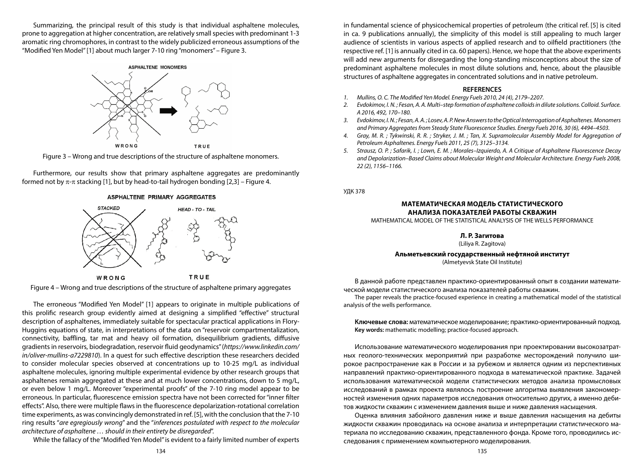Summarizing, the principal result of this study is that individual asphaltene molecules, prone to aggregation at higher concentration, are relatively small species with predominant 1-3 aromatic ring chromophores, in contrast to the widely publicized erroneous assumptions of the "Modified Yen Model" [1] about much larger 7-10 ring "monomers" – Figure 3.

# **ASPHALTENE MONOMERS** WRONG TRUE

Figure 3 – Wrong and true descriptions of the structure of asphaltene monomers.

Furthermore, our results show that primary asphaltene aggregates are predominantly formed not by  $\pi$ - $\pi$  stacking [1], but by head-to-tail hydrogen bonding [2,3] – Figure 4.

#### ASPHALTENE PRIMARY AGGREGATES





The erroneous "Modified Yen Model" [1] appears to originate in multiple publications of this prolific research group evidently aimed at designing a simplified "effective" structural description of asphaltenes, immediately suitable for spectacular practical applications in Flory-Huggins equations of state, in interpretations of the data on "reservoir compartmentalization, connectivity, baffling, tar mat and heavy oil formation, disequilibrium gradients, diffusive gradients in reservoirs, biodegradation, reservoir fluid geodynamics" (*https://www.linkedin.com/ in/oliver-mullins-a7229810*). In a quest for such effective description these researchers decided to consider molecular species observed at concentrations up to 10-25 mg/L as individual asphaltene molecules, ignoring multiple experimental evidence by other research groups that asphaltenes remain aggregated at these and at much lower concentrations, down to 5 mg/L, or even below 1 mg/L. Moreover "experimental proofs" of the 7-10 ring model appear to be erroneous. In particular, fluorescence emission spectra have not been corrected for "inner filter effects". Also, there were multiple flaws in the fluorescence depolarization-rotational correlation time experiments, as was convincingly demonstrated in ref. [5], with the conclusion that the 7-10 ring results "*are egregiously wrong*" and the "*inferences postulated with respect to the molecular architecture of asphaltene … should in their entirety be disregarded*".

While the fallacy of the "Modified Yen Model" is evident to a fairly limited number of experts

in fundamental science of physicochemical properties of petroleum (the critical ref. [5] is cited in ca. 9 publications annually), the simplicity of this model is still appealing to much larger audience of scientists in various aspects of applied research and to oilfield practitioners (the respective ref. [1] is annually cited in ca. 60 papers). Hence, we hope that the above experiments will add new arguments for disregarding the long-standing misconceptions about the size of predominant asphaltene molecules in most dilute solutions and, hence, about the plausible structures of asphaltene aggregates in concentrated solutions and in native petroleum.

#### **REFERENCES**

- *1. Mullins, O. C. The Modified Yen Model. Energy Fuels 2010, 24 (4), 2179–2207.*
- *2. Evdokimov, I. N. ; Fesan, A. A. Multi–step formation of asphaltene colloids in dilute solutions. Colloid. Surface. A 2016, 492, 170–180.*
- *3. Evdokimov, I. N. ; Fesan, A. A. ; Losev, A. P. New Answers to the Optical Interrogation of Asphaltenes. Monomers and Primary Aggregates from Steady State Fluorescence Studies. Energy Fuels 2016, 30 (6), 4494–4503.*
- *4. Gray, M. R. ; Tykwinski, R. R. ; Stryker, J. M. ; Tan, X. Supramolecular Assembly Model for Aggregation of Petroleum Asphaltenes. Energy Fuels 2011, 25 (7), 3125–3134.*
- *5. Strausz, O. P. ; Safarik, I. ; Lown, E. M. ; Morales–Izquierdo, A. A Critique of Asphaltene Fluorescence Decay and Depolarization–Based Claims about Molecular Weight and Molecular Architecture. Energy Fuels 2008, 22 (2), 1156–1166.*

УДК 378

#### **МАТЕМАТИЧЕСКАЯ МОДЕЛЬ СТАТИСТИЧЕСКОГО АНАЛИЗА ПОКАЗАТЕЛЕЙ РАБОТЫ СКВАЖИН**

MATHEMATICAL MODEL OF THE STATISTICAL ANALYSIS OF THE WELLS PERFORMANCE

**Л. Р. Загитова**

(Liliya R. Zagitova)

#### **Альметьевский государственный нефтяной институт**

(Almetyevsk State Oil Institute)

В данной работе представлен практико-ориентированный опыт в создании математической модели статистического анализа показателей работы скважин.

The paper reveals the practice-focused experience in creating a mathematical model of the statistical analysis of the wells performance.

**Ключевые слова:** математическое моделирование; практико-ориентированный подход. **Key words:** mathematic modelling; practice-focused approach.

Использование математического моделирования при проектировании высокозатратных геолого-технических мероприятий при разработке месторождений получило широкое распространение как в России и за рубежом и является одним из перспективных направлений практико-ориентированного подхода в математической практике. Задачей использования математической модели статистических методов анализа промысловых исследований в рамках проекта являлось построение алгоритма выявления закономерностей изменения одних параметров исследования относительно других, а именно дебитов жидкости скважин с изменением давления выше и ниже давления насыщения.

Оценка влияния забойного давления ниже и выше давления насыщения на дебиты жидкости скважин проводилась на основе анализа и интерпретации статистического материала по исследованию скважин, представленного фонда. Кроме того, проводились исследования с применением компьютерного моделирования.